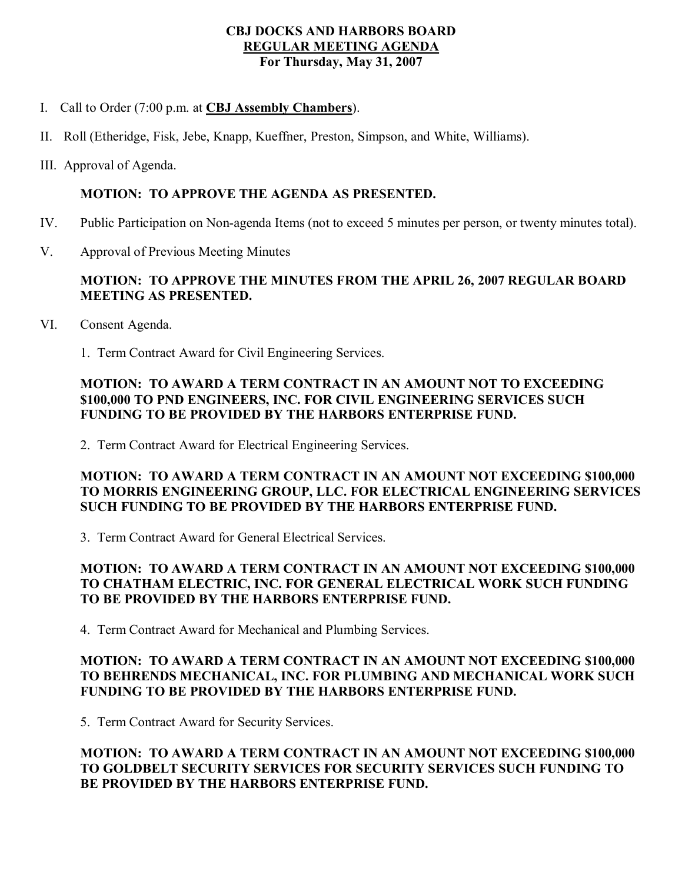#### **CBJ DOCKS AND HARBORS BOARD REGULAR MEETING AGENDA For Thursday, May 31, 2007**

- I. Call to Order (7:00 p.m. at **CBJ Assembly Chambers**).
- II. Roll (Etheridge, Fisk, Jebe, Knapp, Kueffner, Preston, Simpson, and White, Williams).
- III. Approval of Agenda.

### **MOTION: TO APPROVE THE AGENDA AS PRESENTED.**

- IV. Public Participation on Non-agenda Items (not to exceed 5 minutes per person, or twenty minutes total).
- V. Approval of Previous Meeting Minutes

# **MOTION: TO APPROVE THE MINUTES FROM THE APRIL 26, 2007 REGULAR BOARD MEETING AS PRESENTED.**

- VI. Consent Agenda.
	- 1. Term Contract Award for Civil Engineering Services.

# **MOTION: TO AWARD A TERM CONTRACT IN AN AMOUNT NOT TO EXCEEDING \$100,000 TO PND ENGINEERS, INC. FOR CIVIL ENGINEERING SERVICES SUCH FUNDING TO BE PROVIDED BY THE HARBORS ENTERPRISE FUND.**

2. Term Contract Award for Electrical Engineering Services.

### **MOTION: TO AWARD A TERM CONTRACT IN AN AMOUNT NOT EXCEEDING \$100,000 TO MORRIS ENGINEERING GROUP, LLC. FOR ELECTRICAL ENGINEERING SERVICES SUCH FUNDING TO BE PROVIDED BY THE HARBORS ENTERPRISE FUND.**

3. Term Contract Award for General Electrical Services.

# **MOTION: TO AWARD A TERM CONTRACT IN AN AMOUNT NOT EXCEEDING \$100,000 TO CHATHAM ELECTRIC, INC. FOR GENERAL ELECTRICAL WORK SUCH FUNDING TO BE PROVIDED BY THE HARBORS ENTERPRISE FUND.**

4. Term Contract Award for Mechanical and Plumbing Services.

# **MOTION: TO AWARD A TERM CONTRACT IN AN AMOUNT NOT EXCEEDING \$100,000 TO BEHRENDS MECHANICAL, INC. FOR PLUMBING AND MECHANICAL WORK SUCH FUNDING TO BE PROVIDED BY THE HARBORS ENTERPRISE FUND.**

5. Term Contract Award for Security Services.

# **MOTION: TO AWARD A TERM CONTRACT IN AN AMOUNT NOT EXCEEDING \$100,000 TO GOLDBELT SECURITY SERVICES FOR SECURITY SERVICES SUCH FUNDING TO BE PROVIDED BY THE HARBORS ENTERPRISE FUND.**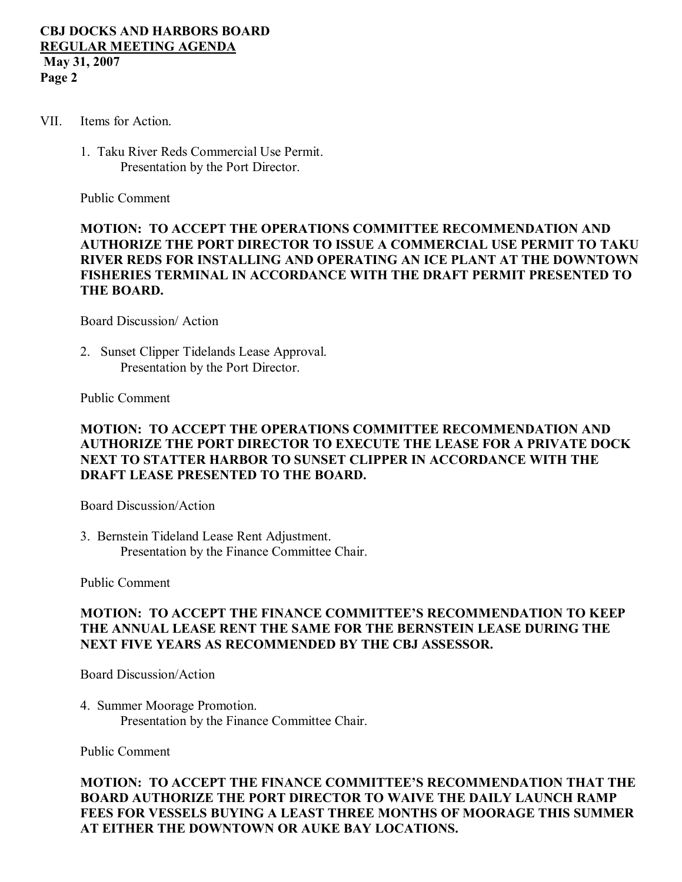#### **CBJ DOCKS AND HARBORS BOARD REGULAR MEETING AGENDA May 31, 2007 Page 2**

- VII. Items for Action.
	- 1. Taku River Reds Commercial Use Permit. Presentation by the Port Director.

Public Comment

## **MOTION: TO ACCEPT THE OPERATIONS COMMITTEE RECOMMENDATION AND AUTHORIZE THE PORT DIRECTOR TO ISSUE A COMMERCIAL USE PERMIT TO TAKU RIVER REDS FOR INSTALLING AND OPERATING AN ICE PLANT AT THE DOWNTOWN FISHERIES TERMINAL IN ACCORDANCE WITH THE DRAFT PERMIT PRESENTED TO THE BOARD.**

Board Discussion/ Action

2. Sunset Clipper Tidelands Lease Approval. Presentation by the Port Director.

Public Comment

### **MOTION: TO ACCEPT THE OPERATIONS COMMITTEE RECOMMENDATION AND AUTHORIZE THE PORT DIRECTOR TO EXECUTE THE LEASE FOR A PRIVATE DOCK NEXT TO STATTER HARBOR TO SUNSET CLIPPER IN ACCORDANCE WITH THE DRAFT LEASE PRESENTED TO THE BOARD.**

Board Discussion/Action

3. Bernstein Tideland Lease Rent Adjustment. Presentation by the Finance Committee Chair.

Public Comment

### **MOTION: TO ACCEPT THE FINANCE COMMITTEE'S RECOMMENDATION TO KEEP THE ANNUAL LEASE RENT THE SAME FOR THE BERNSTEIN LEASE DURING THE NEXT FIVE YEARS AS RECOMMENDED BY THE CBJ ASSESSOR.**

Board Discussion/Action

4. Summer Moorage Promotion. Presentation by the Finance Committee Chair.

Public Comment

**MOTION: TO ACCEPT THE FINANCE COMMITTEE'S RECOMMENDATION THAT THE BOARD AUTHORIZE THE PORT DIRECTOR TO WAIVE THE DAILY LAUNCH RAMP FEES FOR VESSELS BUYING A LEAST THREE MONTHS OF MOORAGE THIS SUMMER AT EITHER THE DOWNTOWN OR AUKE BAY LOCATIONS.**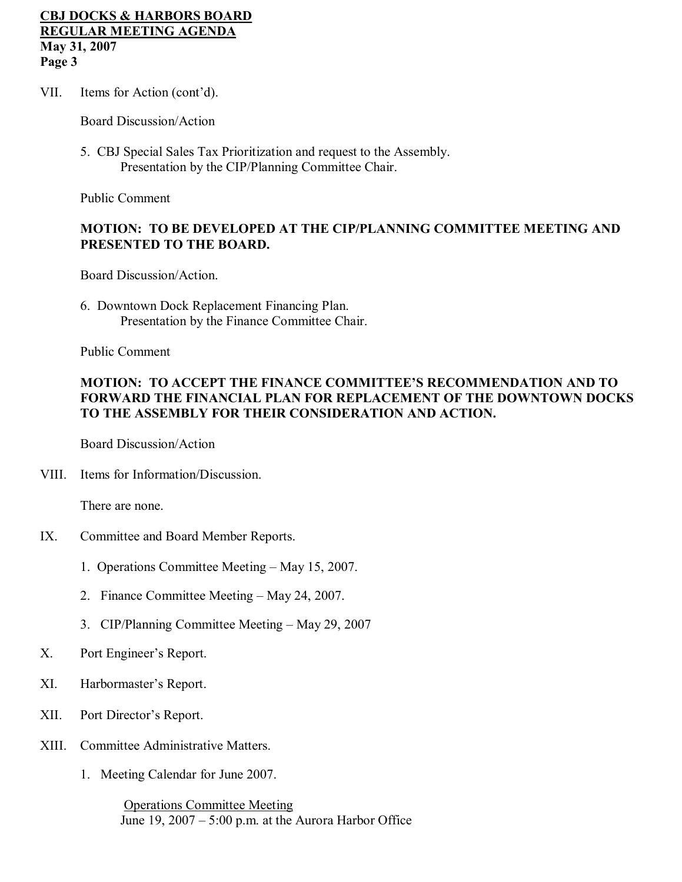#### **CBJ DOCKS & HARBORS BOARD REGULAR MEETING AGENDA May 31, 2007 Page 3**

VII. Items for Action (cont'd).

Board Discussion/Action

5. CBJ Special Sales Tax Prioritization and request to the Assembly. Presentation by the CIP/Planning Committee Chair.

Public Comment

# **MOTION: TO BE DEVELOPED AT THE CIP/PLANNING COMMITTEE MEETING AND PRESENTED TO THE BOARD.**

Board Discussion/Action.

6. Downtown Dock Replacement Financing Plan. Presentation by the Finance Committee Chair.

Public Comment

# **MOTION: TO ACCEPT THE FINANCE COMMITTEE'S RECOMMENDATION AND TO FORWARD THE FINANCIAL PLAN FOR REPLACEMENT OF THE DOWNTOWN DOCKS TO THE ASSEMBLY FOR THEIR CONSIDERATION AND ACTION.**

Board Discussion/Action

VIII. Items for Information/Discussion.

There are none.

- IX. Committee and Board Member Reports.
	- 1. Operations Committee Meeting May 15, 2007.
	- 2. Finance Committee Meeting May 24, 2007.
	- 3. CIP/Planning Committee Meeting May 29, 2007
- X. Port Engineer's Report.
- XI. Harbormaster's Report.
- XII. Port Director's Report.
- XIII. Committee Administrative Matters.
	- 1. Meeting Calendar for June 2007.

Operations Committee Meeting June  $19$ ,  $2007 - 5:00$  p.m. at the Aurora Harbor Office